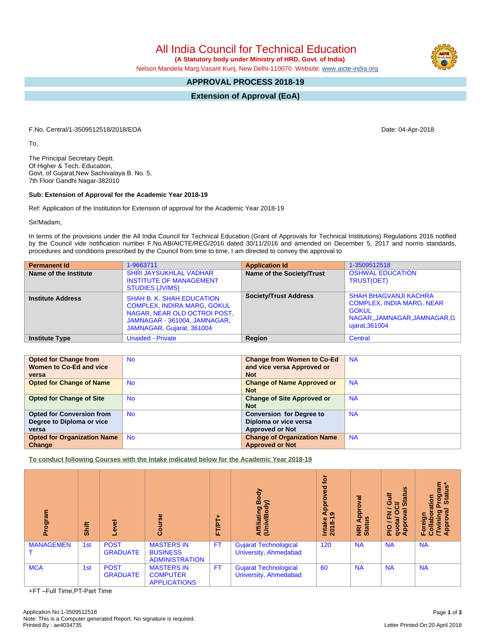All India Council for Technical Education

 **(A Statutory body under Ministry of HRD, Govt. of India)**

Nelson Mandela Marg,Vasant Kunj, New Delhi-110070 Website: [www.aicte-india.org](http://www.aicte-india.org)

## **APPROVAL PROCESS 2018-19**

**Extension of Approval (EoA)**

F.No. Central/1-3509512518/2018/EOA Date: 04-Apr-2018

To,

The Principal Secretary Deptt. Of Higher & Tech. Education, Govt. of Gujarat,New Sachivalaya B. No. 5, 7th Floor Gandhi Nagar-382010

## **Sub: Extension of Approval for the Academic Year 2018-19**

Ref: Application of the Institution for Extension of approval for the Academic Year 2018-19

Sir/Madam,

In terms of the provisions under the All India Council for Technical Education (Grant of Approvals for Technical Institutions) Regulations 2016 notified by the Council vide notification number F.No.AB/AICTE/REG/2016 dated 30/11/2016 and amended on December 5, 2017 and norms standards, procedures and conditions prescribed by the Council from time to time, I am directed to convey the approval to

| <b>Permanent Id</b>      | 1-9663711                                                                                                                                                           | <b>Application Id</b>        | 1-3509512518                                                                                                                       |
|--------------------------|---------------------------------------------------------------------------------------------------------------------------------------------------------------------|------------------------------|------------------------------------------------------------------------------------------------------------------------------------|
| Name of the Institute    | <b>SHRI JAYSUKHLAL VADHAR</b><br><b>INSTITUTE OF MANAGEMENT</b><br><b>STUDIES (JVIMS)</b>                                                                           | Name of the Society/Trust    | <b>OSHWAL EDUCATION</b><br>TRUST(OET)                                                                                              |
| <b>Institute Address</b> | <b>SHAH B. K. SHAH EDUCATION</b><br><b>COMPLEX, INDIRA MARG, GOKUL</b><br>NAGAR, NEAR OLD OCTROI POST,<br>JAMNAGAR - 361004, JAMNAGAR,<br>JAMNAGAR, Gujarat, 361004 | <b>Society/Trust Address</b> | <b>SHAH BHAGVANJI KACHRA</b><br><b>COMPLEX, INDIA MARG, NEAR</b><br><b>GOKUL</b><br>NAGAR,,JAMNAGAR,JAMNAGAR,G  <br>ujarat, 361004 |
| <b>Institute Type</b>    | <b>Unaided - Private</b>                                                                                                                                            | Region                       | Central                                                                                                                            |

| <b>Opted for Change from</b>       | <b>No</b> | <b>Change from Women to Co-Ed</b>  | <b>NA</b> |
|------------------------------------|-----------|------------------------------------|-----------|
| Women to Co-Ed and vice            |           | and vice versa Approved or         |           |
| versa                              |           | <b>Not</b>                         |           |
| <b>Opted for Change of Name</b>    | <b>No</b> | <b>Change of Name Approved or</b>  | <b>NA</b> |
|                                    |           | <b>Not</b>                         |           |
| <b>Opted for Change of Site</b>    | <b>No</b> | <b>Change of Site Approved or</b>  | <b>NA</b> |
|                                    |           | <b>Not</b>                         |           |
| <b>Opted for Conversion from</b>   | <b>No</b> | <b>Conversion for Degree to</b>    | <b>NA</b> |
| Degree to Diploma or vice          |           | Diploma or vice versa              |           |
| versa                              |           | <b>Approved or Not</b>             |           |
| <b>Opted for Organization Name</b> | <b>No</b> | <b>Change of Organization Name</b> | <b>NA</b> |
| Change                             |           | <b>Approved or Not</b>             |           |

**To conduct following Courses with the Intake indicated below for the Academic Year 2018-19**

| Program          | Shift | $\overline{\omega}$<br>ω       | rse<br>Cour                                                   | ٠<br>FT/PT | Body<br>$\widehat{\phantom{a}}$<br>Affiliating<br>(Univ/Bod) | tor<br>್ಠಾ<br>ο<br>م<br>ه<br>ه<br>Intake<br>2018-1 | ಸ<br>Appl<br>NRI Ap<br>Status | <b>Status</b><br><b>Gulf</b><br>ಕ<br><b>la</b><br>z<br>O<br>ц,<br>园<br>quota/<br>Approv<br>$\frac{1}{2}$ | rogram<br>Status*<br>ation<br>ख़<br>pain<br>ō<br>Foreign<br>Collab<br>Approv<br>Approv |
|------------------|-------|--------------------------------|---------------------------------------------------------------|------------|--------------------------------------------------------------|----------------------------------------------------|-------------------------------|----------------------------------------------------------------------------------------------------------|----------------------------------------------------------------------------------------|
| <b>MANAGEMEN</b> | 1st   | <b>POST</b><br><b>GRADUATE</b> | <b>MASTERS IN</b><br><b>BUSINESS</b><br><b>ADMINISTRATION</b> | <b>FT</b>  | <b>Gujarat Technological</b><br>University, Ahmedabad        | 120                                                | <b>NA</b>                     | <b>NA</b>                                                                                                | <b>NA</b>                                                                              |
| <b>MCA</b>       | 1st   | <b>POST</b><br><b>GRADUATE</b> | <b>MASTERS IN</b><br><b>COMPUTER</b><br><b>APPLICATIONS</b>   | <b>FT</b>  | <b>Gujarat Technological</b><br>University, Ahmedabad        | 60                                                 | <b>NA</b>                     | <b>NA</b>                                                                                                | <b>NA</b>                                                                              |

+FT –Full Time,PT-Part Time

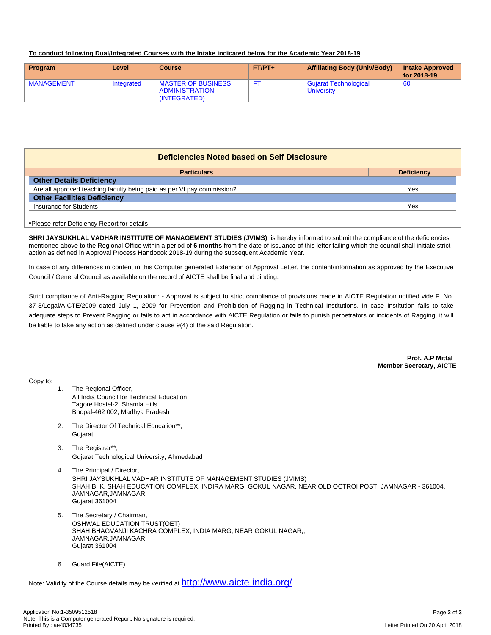## **To conduct following Dual/Integrated Courses with the Intake indicated below for the Academic Year 2018-19**

| Program           | Level      | Course                                                             | $FT/PT+$ | <b>Affiliating Body (Univ/Body)</b>               | <b>Intake Approved</b><br>for 2018-19 |
|-------------------|------------|--------------------------------------------------------------------|----------|---------------------------------------------------|---------------------------------------|
| <b>MANAGEMENT</b> | Integrated | <b>MASTER OF BUSINESS</b><br><b>ADMINISTRATION</b><br>(INTEGRATED) |          | <b>Gujarat Technological</b><br><b>University</b> | -60                                   |

| Deficiencies Noted based on Self Disclosure                            |                   |  |  |  |
|------------------------------------------------------------------------|-------------------|--|--|--|
| <b>Particulars</b>                                                     | <b>Deficiency</b> |  |  |  |
| <b>Other Details Deficiency</b>                                        |                   |  |  |  |
| Are all approved teaching faculty being paid as per VI pay commission? | Yes               |  |  |  |
| <b>Other Facilities Deficiency</b>                                     |                   |  |  |  |
| Insurance for Students                                                 | Yes               |  |  |  |
| *Please refer Deficiency Report for details                            |                   |  |  |  |

**SHRI JAYSUKHLAL VADHAR INSTITUTE OF MANAGEMENT STUDIES (JVIMS)** is hereby informed to submit the compliance of the deficiencies mentioned above to the Regional Office within a period of **6 months** from the date of issuance of this letter failing which the council shall initiate strict action as defined in Approval Process Handbook 2018-19 during the subsequent Academic Year.

In case of any differences in content in this Computer generated Extension of Approval Letter, the content/information as approved by the Executive Council / General Council as available on the record of AICTE shall be final and binding.

Strict compliance of Anti-Ragging Regulation: - Approval is subject to strict compliance of provisions made in AICTE Regulation notified vide F. No. 37-3/Legal/AICTE/2009 dated July 1, 2009 for Prevention and Prohibition of Ragging in Technical Institutions. In case Institution fails to take adequate steps to Prevent Ragging or fails to act in accordance with AICTE Regulation or fails to punish perpetrators or incidents of Ragging, it will be liable to take any action as defined under clause 9(4) of the said Regulation.

> **Prof. A.P Mittal Member Secretary, AICTE**

Copy to:

- 1. The Regional Officer, All India Council for Technical Education Tagore Hostel-2, Shamla Hills Bhopal-462 002, Madhya Pradesh
- 2. The Director Of Technical Education\*\*, **Guiarat**
- 3. The Registrar\*\*, Gujarat Technological University, Ahmedabad
- 4. The Principal / Director, SHRI JAYSUKHLAL VADHAR INSTITUTE OF MANAGEMENT STUDIES (JVIMS) SHAH B. K. SHAH EDUCATION COMPLEX, INDIRA MARG, GOKUL NAGAR, NEAR OLD OCTROI POST, JAMNAGAR - 361004, JAMNAGAR,JAMNAGAR, Gujarat,361004
- 5. The Secretary / Chairman, OSHWAL EDUCATION TRUST(OET) SHAH BHAGVANJI KACHRA COMPLEX, INDIA MARG, NEAR GOKUL NAGAR,, JAMNAGAR,JAMNAGAR, Gujarat,361004
- 6. Guard File(AICTE)

Note: Validity of the Course details may be verified at <http://www.aicte-india.org/>